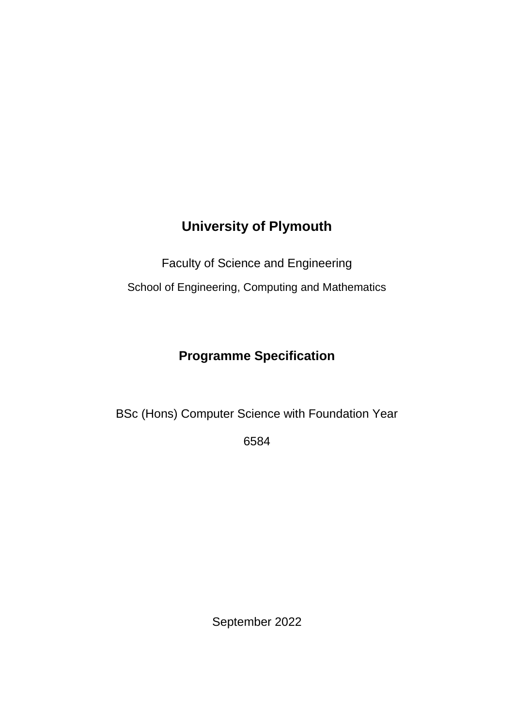# **University of Plymouth**

Faculty of Science and Engineering

School of Engineering, Computing and Mathematics

# **Programme Specification**

BSc (Hons) Computer Science with Foundation Year

6584

September 2022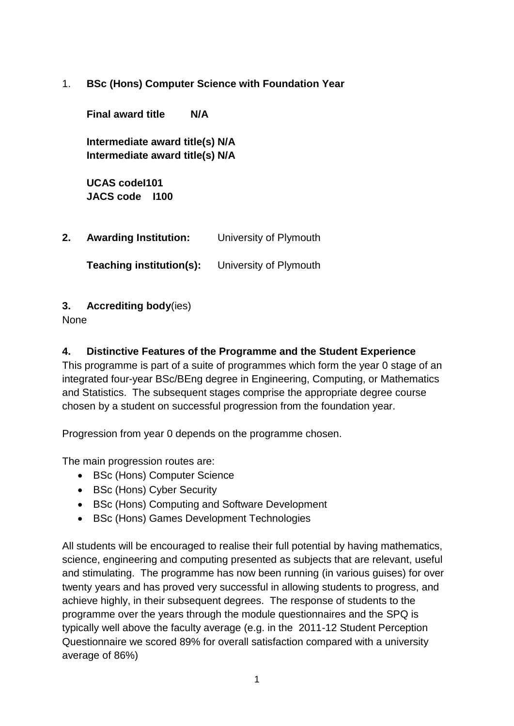1. **BSc (Hons) Computer Science with Foundation Year** 

**Final award title N/A Intermediate award title(s) N/A Intermediate award title(s) N/A UCAS codeI101 JACS code I100 2. Awarding Institution:** University of Plymouth **Teaching institution(s):** University of Plymouth

#### **3. Accrediting body**(ies)

None

#### **4. Distinctive Features of the Programme and the Student Experience**

This programme is part of a suite of programmes which form the year 0 stage of an integrated four-year BSc/BEng degree in Engineering, Computing, or Mathematics and Statistics. The subsequent stages comprise the appropriate degree course chosen by a student on successful progression from the foundation year.

Progression from year 0 depends on the programme chosen.

The main progression routes are:

- BSc (Hons) Computer Science
- BSc (Hons) Cyber Security
- BSc (Hons) Computing and Software Development
- BSc (Hons) Games Development Technologies

All students will be encouraged to realise their full potential by having mathematics, science, engineering and computing presented as subjects that are relevant, useful and stimulating. The programme has now been running (in various guises) for over twenty years and has proved very successful in allowing students to progress, and achieve highly, in their subsequent degrees. The response of students to the programme over the years through the module questionnaires and the SPQ is typically well above the faculty average (e.g. in the 2011-12 Student Perception Questionnaire we scored 89% for overall satisfaction compared with a university average of 86%)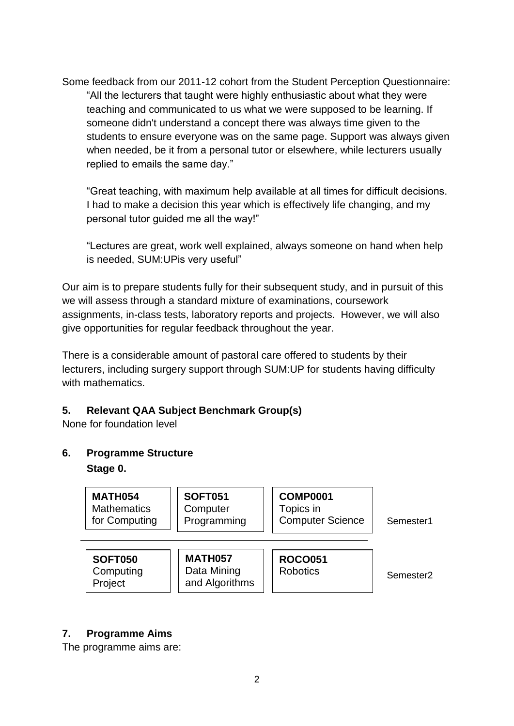Some feedback from our 2011-12 cohort from the Student Perception Questionnaire: "All the lecturers that taught were highly enthusiastic about what they were teaching and communicated to us what we were supposed to be learning. If someone didn't understand a concept there was always time given to the students to ensure everyone was on the same page. Support was always given when needed, be it from a personal tutor or elsewhere, while lecturers usually replied to emails the same day."

"Great teaching, with maximum help available at all times for difficult decisions. I had to make a decision this year which is effectively life changing, and my personal tutor guided me all the way!"

"Lectures are great, work well explained, always someone on hand when help is needed, SUM:UPis very useful"

Our aim is to prepare students fully for their subsequent study, and in pursuit of this we will assess through a standard mixture of examinations, coursework assignments, in-class tests, laboratory reports and projects. However, we will also give opportunities for regular feedback throughout the year.

There is a considerable amount of pastoral care offered to students by their lecturers, including surgery support through SUM:UP for students having difficulty with mathematics.

#### **5. Relevant QAA Subject Benchmark Group(s)**

None for foundation level

**6. Programme Structure Stage 0.** 



#### **7. Programme Aims**

The programme aims are: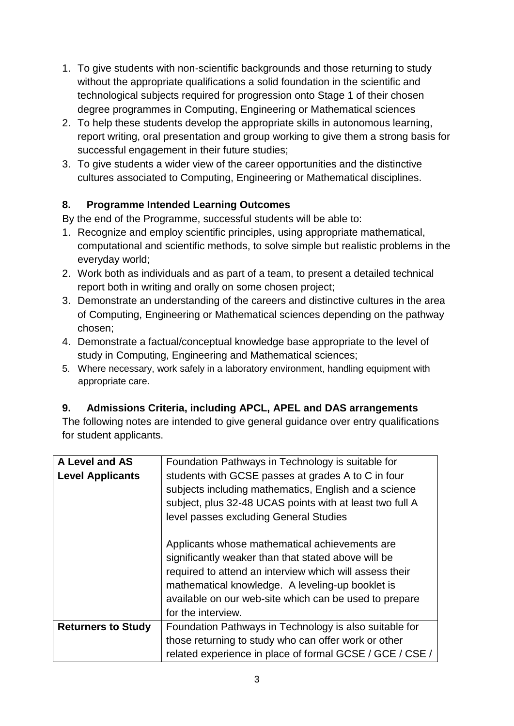- 1. To give students with non-scientific backgrounds and those returning to study without the appropriate qualifications a solid foundation in the scientific and technological subjects required for progression onto Stage 1 of their chosen degree programmes in Computing, Engineering or Mathematical sciences
- 2. To help these students develop the appropriate skills in autonomous learning, report writing, oral presentation and group working to give them a strong basis for successful engagement in their future studies;
- 3. To give students a wider view of the career opportunities and the distinctive cultures associated to Computing, Engineering or Mathematical disciplines.

### **8. Programme Intended Learning Outcomes**

By the end of the Programme, successful students will be able to:

- 1. Recognize and employ scientific principles, using appropriate mathematical, computational and scientific methods, to solve simple but realistic problems in the everyday world;
- 2. Work both as individuals and as part of a team, to present a detailed technical report both in writing and orally on some chosen project;
- 3. Demonstrate an understanding of the careers and distinctive cultures in the area of Computing, Engineering or Mathematical sciences depending on the pathway chosen;
- 4. Demonstrate a factual/conceptual knowledge base appropriate to the level of study in Computing, Engineering and Mathematical sciences;
- 5. Where necessary, work safely in a laboratory environment, handling equipment with appropriate care.

### **9. Admissions Criteria, including APCL, APEL and DAS arrangements**

The following notes are intended to give general guidance over entry qualifications for student applicants.

| A Level and AS            | Foundation Pathways in Technology is suitable for                                                                                                                                                                                                                                                    |
|---------------------------|------------------------------------------------------------------------------------------------------------------------------------------------------------------------------------------------------------------------------------------------------------------------------------------------------|
| <b>Level Applicants</b>   | students with GCSE passes at grades A to C in four<br>subjects including mathematics, English and a science<br>subject, plus 32-48 UCAS points with at least two full A<br>level passes excluding General Studies                                                                                    |
|                           | Applicants whose mathematical achievements are<br>significantly weaker than that stated above will be<br>required to attend an interview which will assess their<br>mathematical knowledge. A leveling-up booklet is<br>available on our web-site which can be used to prepare<br>for the interview. |
| <b>Returners to Study</b> | Foundation Pathways in Technology is also suitable for                                                                                                                                                                                                                                               |
|                           | those returning to study who can offer work or other                                                                                                                                                                                                                                                 |
|                           | related experience in place of formal GCSE / GCE / CSE /                                                                                                                                                                                                                                             |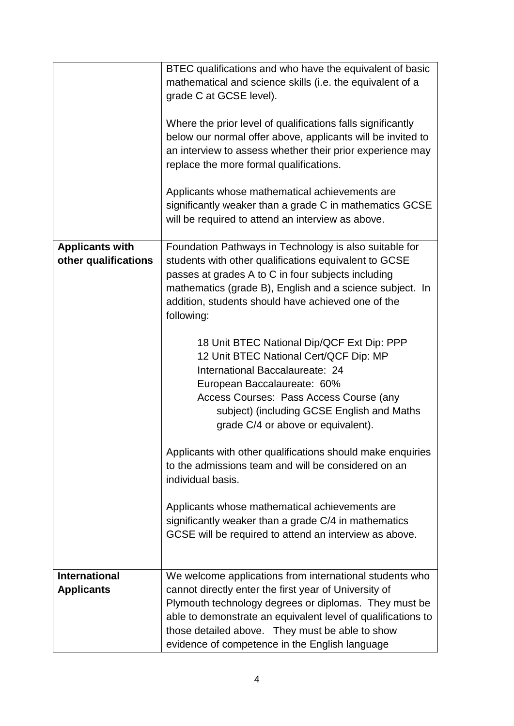|                                                | BTEC qualifications and who have the equivalent of basic<br>mathematical and science skills (i.e. the equivalent of a<br>grade C at GCSE level).<br>Where the prior level of qualifications falls significantly<br>below our normal offer above, applicants will be invited to<br>an interview to assess whether their prior experience may<br>replace the more formal qualifications.<br>Applicants whose mathematical achievements are<br>significantly weaker than a grade C in mathematics GCSE<br>will be required to attend an interview as above. |
|------------------------------------------------|----------------------------------------------------------------------------------------------------------------------------------------------------------------------------------------------------------------------------------------------------------------------------------------------------------------------------------------------------------------------------------------------------------------------------------------------------------------------------------------------------------------------------------------------------------|
| <b>Applicants with</b><br>other qualifications | Foundation Pathways in Technology is also suitable for<br>students with other qualifications equivalent to GCSE<br>passes at grades A to C in four subjects including<br>mathematics (grade B), English and a science subject. In<br>addition, students should have achieved one of the<br>following:                                                                                                                                                                                                                                                    |
|                                                | 18 Unit BTEC National Dip/QCF Ext Dip: PPP<br>12 Unit BTEC National Cert/QCF Dip: MP<br>International Baccalaureate: 24<br>European Baccalaureate: 60%<br>Access Courses: Pass Access Course (any<br>subject) (including GCSE English and Maths<br>grade C/4 or above or equivalent).                                                                                                                                                                                                                                                                    |
|                                                | Applicants with other qualifications should make enquiries<br>to the admissions team and will be considered on an<br>individual basis.                                                                                                                                                                                                                                                                                                                                                                                                                   |
|                                                | Applicants whose mathematical achievements are<br>significantly weaker than a grade C/4 in mathematics<br>GCSE will be required to attend an interview as above.                                                                                                                                                                                                                                                                                                                                                                                         |
| <b>International</b>                           | We welcome applications from international students who                                                                                                                                                                                                                                                                                                                                                                                                                                                                                                  |
| <b>Applicants</b>                              | cannot directly enter the first year of University of                                                                                                                                                                                                                                                                                                                                                                                                                                                                                                    |
|                                                | Plymouth technology degrees or diplomas. They must be<br>able to demonstrate an equivalent level of qualifications to<br>those detailed above. They must be able to show<br>evidence of competence in the English language                                                                                                                                                                                                                                                                                                                               |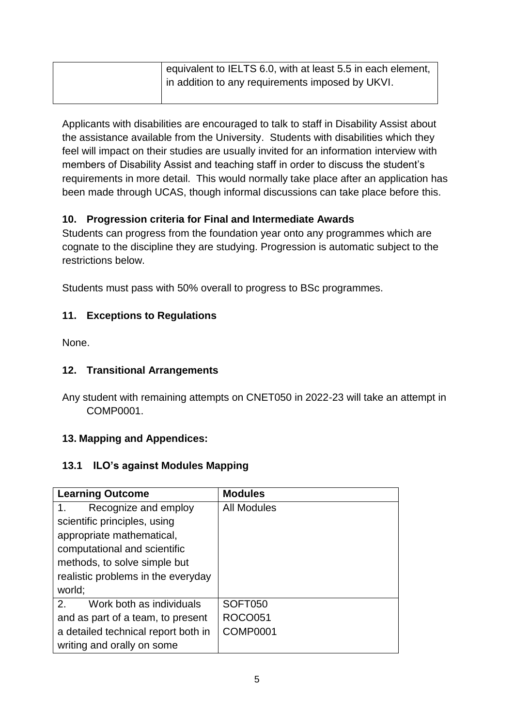| equivalent to IELTS 6.0, with at least 5.5 in each element, |
|-------------------------------------------------------------|
| in addition to any requirements imposed by UKVI.            |
|                                                             |

Applicants with disabilities are encouraged to talk to staff in Disability Assist about the assistance available from the University. Students with disabilities which they feel will impact on their studies are usually invited for an information interview with members of Disability Assist and teaching staff in order to discuss the student's requirements in more detail. This would normally take place after an application has been made through UCAS, though informal discussions can take place before this.

#### **10. Progression criteria for Final and Intermediate Awards**

Students can progress from the foundation year onto any programmes which are cognate to the discipline they are studying. Progression is automatic subject to the restrictions below.

Students must pass with 50% overall to progress to BSc programmes.

#### **11. Exceptions to Regulations**

None.

#### **12. Transitional Arrangements**

Any student with remaining attempts on CNET050 in 2022-23 will take an attempt in COMP0001.

#### **13. Mapping and Appendices:**

#### **13.1 ILO's against Modules Mapping**

| <b>Learning Outcome</b>                   | <b>Modules</b> |
|-------------------------------------------|----------------|
| Recognize and employ<br>1.                | All Modules    |
| scientific principles, using              |                |
| appropriate mathematical,                 |                |
| computational and scientific              |                |
| methods, to solve simple but              |                |
| realistic problems in the everyday        |                |
| world;                                    |                |
| $\mathcal{P}$<br>Work both as individuals | SOFT050        |
| and as part of a team, to present         | <b>ROCO051</b> |
| a detailed technical report both in       | COMP0001       |
| writing and orally on some                |                |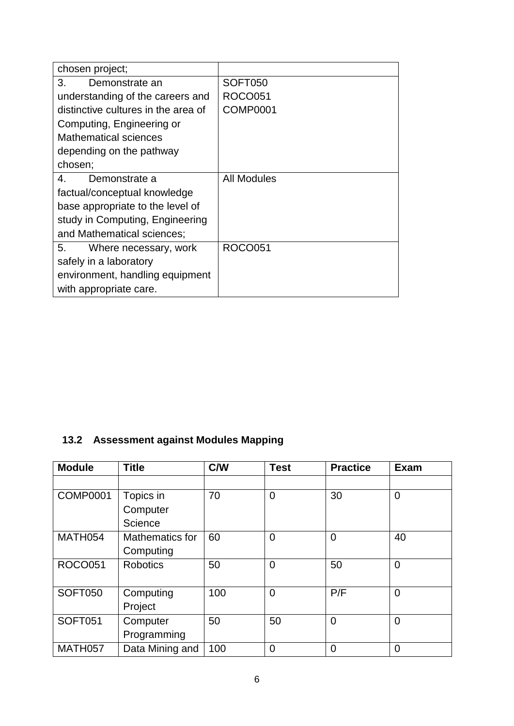| chosen project;                     |                 |
|-------------------------------------|-----------------|
| 3.<br>Demonstrate an                | SOFT050         |
| understanding of the careers and    | <b>ROCO051</b>  |
| distinctive cultures in the area of | <b>COMP0001</b> |
| Computing, Engineering or           |                 |
| <b>Mathematical sciences</b>        |                 |
| depending on the pathway            |                 |
| chosen;                             |                 |
| 4.<br>Demonstrate a                 | All Modules     |
| factual/conceptual knowledge        |                 |
| base appropriate to the level of    |                 |
| study in Computing, Engineering     |                 |
| and Mathematical sciences;          |                 |
| 5. Where necessary, work            | <b>ROCO051</b>  |
| safely in a laboratory              |                 |
| environment, handling equipment     |                 |
| with appropriate care.              |                 |

## **13.2 Assessment against Modules Mapping**

| <b>Module</b>   | <b>Title</b>           | C/W | <b>Test</b>    | <b>Practice</b> | <b>Exam</b>    |
|-----------------|------------------------|-----|----------------|-----------------|----------------|
|                 |                        |     |                |                 |                |
| <b>COMP0001</b> | Topics in              | 70  | 0              | 30              | $\mathbf 0$    |
|                 | Computer               |     |                |                 |                |
|                 | Science                |     |                |                 |                |
| MATH054         | <b>Mathematics for</b> | 60  | 0              | $\overline{0}$  | 40             |
|                 | Computing              |     |                |                 |                |
| <b>ROCO051</b>  | <b>Robotics</b>        | 50  | $\overline{0}$ | 50              | $\overline{0}$ |
|                 |                        |     |                |                 |                |
| <b>SOFT050</b>  | Computing              | 100 | $\overline{0}$ | P/F             | $\Omega$       |
|                 | Project                |     |                |                 |                |
| <b>SOFT051</b>  | Computer               | 50  | 50             | $\overline{0}$  | $\overline{0}$ |
|                 | Programming            |     |                |                 |                |
| MATH057         | Data Mining and        | 100 | $\overline{0}$ | 0               | $\overline{0}$ |